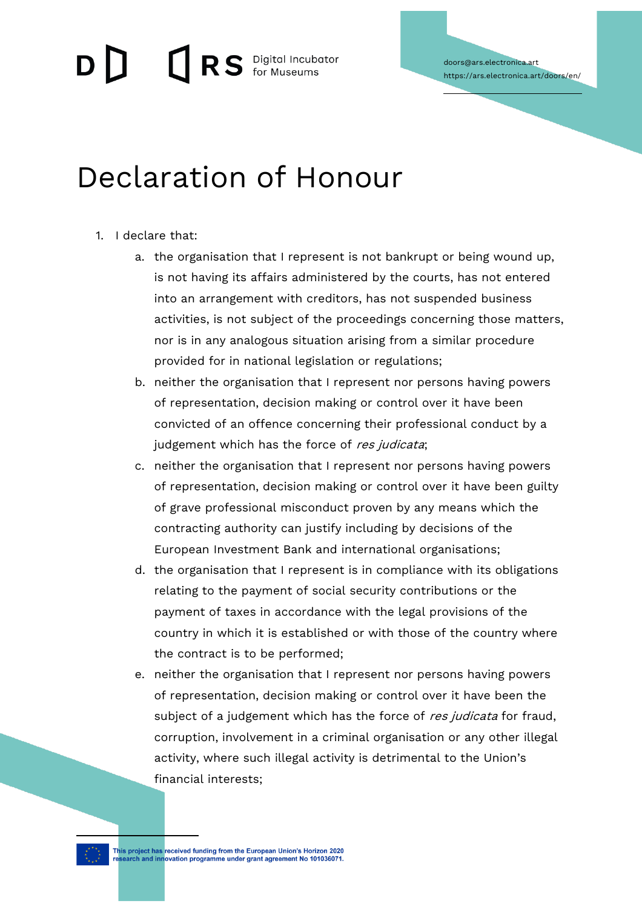$\Box$   $\Box$ RS Digital Incubator

doors@ars.electronica.art **https://ars.electronica.art/doors/en/**

## **Declaration of Honour**

- 1. I declare that:
	- a. the organisation that I represent is not bankrupt or being wound up, is not having its affairs administered by the courts, has not entered into an arrangement with creditors, has not suspended business activities, is not subject of the proceedings concerning those matters, nor is in any analogous situation arising from a similar procedure provided for in national legislation or regulations;
	- b. neither the organisation that I represent nor persons having powers of representation, decision making or control over it have been convicted of an offence concerning their professional conduct by a judgement which has the force of res judicata;
	- c. neither the organisation that I represent nor persons having powers of representation, decision making or control over it have been guilty of grave professional misconduct proven by any means which the contracting authority can justify including by decisions of the European Investment Bank and international organisations;
	- d. the organisation that I represent is in compliance with its obligations relating to the payment of social security contributions or the payment of taxes in accordance with the legal provisions of the country in which it is established or with those of the country where the contract is to be performed;
	- e. neither the organisation that I represent nor persons having powers of representation, decision making or control over it have been the subject of a judgement which has the force of res judicata for fraud, corruption, involvement in a criminal organisation or any other illegal activity, where such illegal activity is detrimental to the Union's financial interests;

This project has received funding from the European Union's Horizon 2020<br>research and innovation programme under grant agreement No 101036071.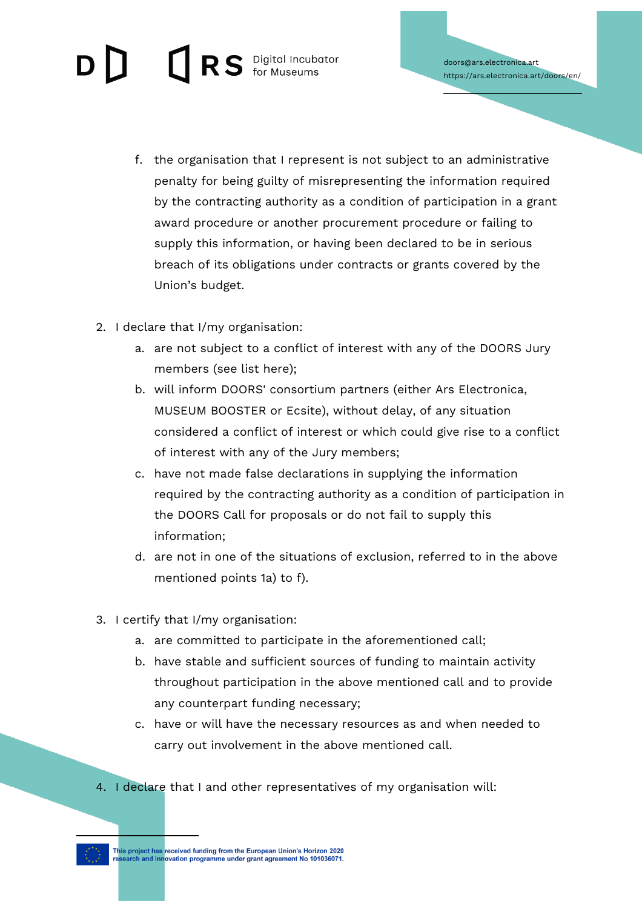## RS Digital Incubator

- f. the organisation that I represent is not subject to an administrative penalty for being guilty of misrepresenting the information required by the contracting authority as a condition of participation in a grant award procedure or another procurement procedure or failing to supply this information, or having been declared to be in serious breach of its obligations under contracts or grants covered by the Union's budget.
- 2. I declare that I/my organisation:
	- a. are not subject to a conflict of interest with any of the DOORS Jury members (see list here);
	- b. will inform DOORS' consortium partners (either Ars Electronica, MUSEUM BOOSTER or Ecsite), without delay, of any situation considered a conflict of interest or which could give rise to a conflict of interest with any of the Jury members;
	- c. have not made false declarations in supplying the information required by the contracting authority as a condition of participation in the DOORS Call for proposals or do not fail to supply this information;
	- d. are not in one of the situations of exclusion, referred to in the above mentioned points 1a) to f).
- 3. I certify that I/my organisation:
	- a. are committed to participate in the aforementioned call;
	- b. have stable and sufficient sources of funding to maintain activity throughout participation in the above mentioned call and to provide any counterpart funding necessary;
	- c. have or will have the necessary resources as and when needed to carry out involvement in the above mentioned call.
- 4. I declare that I and other representatives of my organisation will:



This project has received funding from the European Union's Horizon 2020<br>research and innovation programme under grant agreement No 101036071.